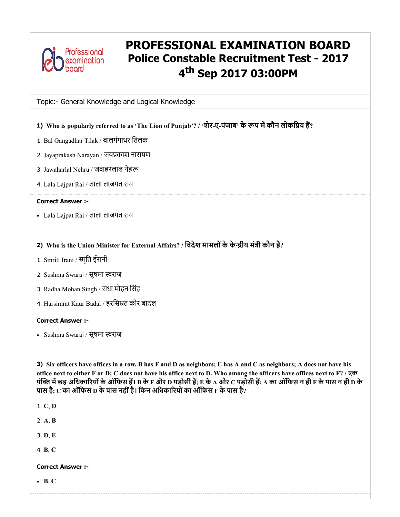

# PROFESSIONAL EXAMINATION BOARD Police Constable Recruitment Test - 2017 4<sup>th</sup> Sep 2017 03:00PM

Topic:- General Knowledge and Logical Knowledge

- 1) Who is popularly referred to as 'The Lion of Punjab'? / 'शेर-ए-पंजाब' के रूप में कौन लोकप्रिय हैं?
- 1. Bal Gangadhar Tilak / बालगंगाधर ितलक
- 2. Jayaprakash Narayan / जयकाश नारायण
- 3. Jawaharlal Nehru / जवाहरलाल नेह
- 4. Lala Lajpat Rai / लाला लाजपत राय

### Correct Answer :-

- Lala Lajpat Rai / लाला लाजपत राय
- 2) Who is the Union Minister for External Affairs? / विदेश मामलों के केन्द्रीय मंत्री कौन हैं?
- 1. Smriti Irani / स्मृति ईरानी
- 2. Sushma Swaraj / सुषमा स्वराज
- 3. Radha Mohan Singh / राधा मोहन िसंह
- 4. Harsimrat Kaur Badal / हरिसत कौर बादल

### Correct Answer :-

• Sushma Swaraj / सुषमा स्वराज

3) Six officers have offices in a row. B has F and D as neighbors; E has A and C as neighbors; A does not have his office next to either F or D; C does not have his office next to D. Who among the officers have offices next to F? / एक पंक्ति में छह अधिकारियों के ऑफिस हैं। B के F और D पड़ोसी हैं; E के A और C पड़ोसी हैं; A का ऑफिस न ही F के पास न ही D के पास है:  $\rm c$  का ऑफिस  $\rm p$  के पास नहीं है। किन अधिकारियों का ऑफिस  $\rm F$  के पास है?

---------------------------------

1. C, D

2. A, B

3. D, E

4. B, C

# Correct Answer :-

 $\bullet$  B, C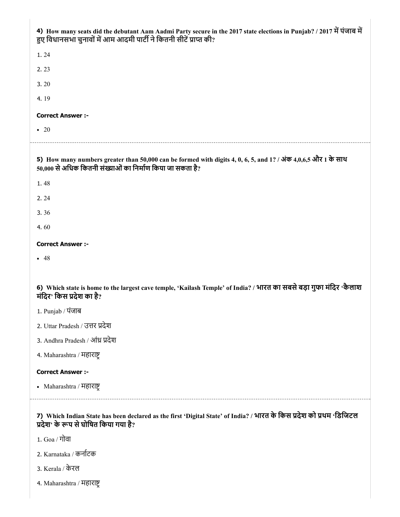| 4) How many seats did the debutant Aam Aadmi Party secure in the 2017 state elections in Punjab? / 2017 में पंजाब में<br>हुए विधानसभा चुनावों में आम आदमी पार्टी ने कितनी सीटें प्राप्त की? |
|---------------------------------------------------------------------------------------------------------------------------------------------------------------------------------------------|
| 1.24                                                                                                                                                                                        |
| 2.23                                                                                                                                                                                        |
| 3.20                                                                                                                                                                                        |
| 4.19                                                                                                                                                                                        |
| <b>Correct Answer :-</b>                                                                                                                                                                    |
| $\bullet$ 20                                                                                                                                                                                |
| 5) How many numbers greater than 50,000 can be formed with digits 4, 0, 6, 5, and 1? / अंक 4,0,6,5 और 1 के साथ<br>50,000 से अधिक कितनी संख्याओं का निर्माण किया जा सकता है?                 |
| 1.48                                                                                                                                                                                        |
| 2.24                                                                                                                                                                                        |
| 3.36                                                                                                                                                                                        |
| 4.60                                                                                                                                                                                        |
| <b>Correct Answer :-</b>                                                                                                                                                                    |
| $-48$                                                                                                                                                                                       |
|                                                                                                                                                                                             |
| 6) Which state is home to the largest cave temple, 'Kailash Temple' of India? / भारत का सबसे बड़ा गुफा मंदिर 'कैलाश<br>मंदिर' किस प्रदेश का है?                                             |
| 1. Punjab / पंजाब                                                                                                                                                                           |
| 2. Uttar Pradesh / उत्तर प्रदेश                                                                                                                                                             |
| 3. Andhra Pradesh / आंध्र प्रदेश                                                                                                                                                            |
| 4. Maharashtra / महाराष्ट्र                                                                                                                                                                 |
| <b>Correct Answer:-</b>                                                                                                                                                                     |
| • Maharashtra / महाराष्ट्र                                                                                                                                                                  |
| 7) Which Indian State has been declared as the first 'Digital State' of India? / भारत के किस प्रदेश को प्रथम 'डिजिटल<br>प्रदेश' के रूप से घोषित किया गया है?                                |

- 1. Goa / गोवा
- 2. Karnataka / कनाटक
- 3. Kerala / केरल
- 4. Maharashtra / महारा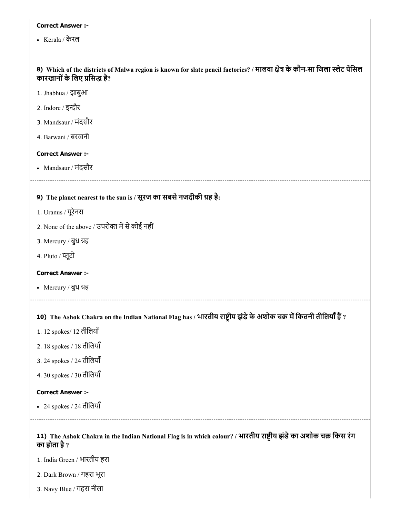Kerala / केरल

# 8) Which of the districts of Malwa region is known for slate pencil factories? / मालवा क्षेत्र के कौन-सा जिला स्लेट पेसिल कारखानों के लिए प्रसिद्ध है?

- 9) The planet nearest to the sun is / सूरज का सबसे नजदीकी ग्रह है: 10) The Ashok Chakra on the Indian National Flag has / भारतीय राष्ट्रीय झंडे के अशोक चक्र में कितनी तीलियां ह 11) The Ashok Chakra in the Indian National Flag is in which colour? / भारतीय राष्ट्रीय झंडे का अशोक चक्र किस रंग 1. Jhabhua / झाबुआ 2. Indore / इन्दौर 3. Mandsaur / मंदसौर 4. Barwani / बरवानी Correct Answer :- Mandsaur / मंदसौर 1. Uranus / यूरेनस 2. None of the above / उपरोक्त में से कोई नहीं 3. Mercury / बुध ह 4. Pluto / प्लूटो Correct Answer :- Mercury / बुध ह 1. 12 spokes/ 12 तीिलयाँ 2. 18 spokes / 18 तीिलयाँ 3. 24 spokes / 24 तीिलयाँ 4. 30 spokes / 30 तीिलयाँ Correct Answer :- 24 spokes / 24 तीिलयाँ का होता है? 1. India Green / भारतीय हरा
- 2. Dark Brown / गहरा भूरा
- 3. Navy Blue / गहरा नीला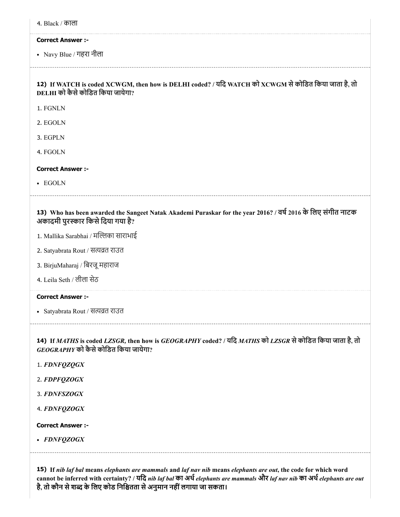|  | ४. Black / काला |  |  |
|--|-----------------|--|--|
|  |                 |  |  |
|  |                 |  |  |
|  |                 |  |  |

Navy Blue / गहरा नीला

# 12) If WATCH is coded XCWGM, then how is DELHI coded? / यिद WATCH को XCWGM सेकोिडत िकया जाता है, तो DELHI को कैसेकोिडत िकया जायेगा?

1. FGNLN

2. EGOLN

3. EGPLN

4. FGOLN

### Correct Answer :-

• EGOLN

### 13) Who has been awarded the Sangeet Natak Akademi Puraskar for the year 2016? / वर्ष 2016 के लिए संगीत नाटक अकादमी पुरस्कार किसे दिया गया है?

- 1. Mallika Sarabhai / मल्लिका साराभाई
- 2. Satyabrata Rout / सत्यव्रत राउत
- 3. BirjuMaharaj / िबरजूमहाराज
- 4. Leila Seth / लीला सेठ

### Correct Answer :-

• Satyabrata Rout / सत्यव्रत राउत

14) If *MATHS* is coded *LZSGR,* then how is *GEOGRAPHY* coded? / यिद *MATHS* को *LZSGR* सेकोिडत िकया जाता है, तो *GEOGRAPHY* को कैसेकोिडत िकया जायेगा?

- 1. *FDNFQZQGX*
- 2. *FDPFQZOGX*
- 3. *FDNFSZOGX*

4. *FDNFQZOGX*

Correct Answer :-

*FDNFQZOGX*

15) If *nib laf bal* means *elephants are mammals* and *laf nav nib* means *elephants are out*, the code for which word cannot be inferred with certainty? / यिद *nib laf bal* का अथ*elephants are mammals* और *laf nav nib* का अथ*elephants are out* है, तो कौन से शब्द के लिए कोड निश्चितता से अनुमान नहीं लगाया जा सकता।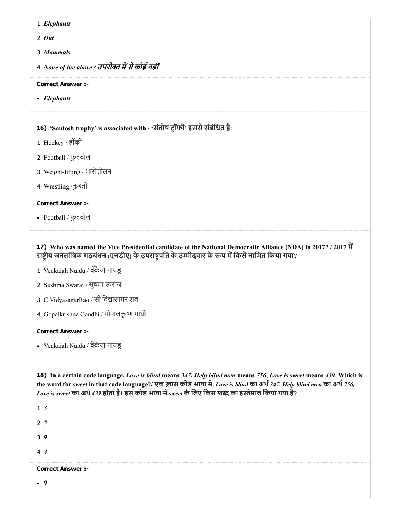- 1. *Elephants*
- 2. *Out*
- 3. *Mammals*
- 4. *None of the above /* उपरो मसेकोई नहीं

*Elephants*

# 16) 'Santosh trophy' is associated with / 'संतोष ट्रॉफी' इससे संबंधित है:

- 1. Hockey / हॉकी
- 2. Football / फुटबॉल
- 3. Weight-lifting / भारोत्तोलन
- 4. Wrestling /कुश्ती

### Correct Answer :-

Football / फुटबॉल

17) Who was named the Vice Presidential candidate of the National Democratic Alliance (NDA) in 2017? / 2017 म राष्ट्रीय जनतांत्रिक गठबंधन (एनडीए) के उपराष्ट्रपति के उम्मीदवार के रूप में किसे नामित किया गया?

- 1. Venkaiah Naidu / वकैया नायडू
- 2. Sushma Swaraj / सुषमा स्वराज
- 3. C VidyasagarRao / सी विद्यासागर राव
- 4. Gopalkrishna Gandhi / गोपालकृ गांधी

### Correct Answer :-

Venkaiah Naidu / वकैया नायडू

18) In a certain code language, *Love is blind* means *347*, *Help blind men* means *756*, *Love is sweet* means *439*. Which is the word for *sweet* in that code language?/ एक ख़ास कोड भाषा म, *Love is blind* का अथ*347, Help blind men* का अथ*756, Love is sweet* का अथ*439* होता है। इस कोड भाषा म*sweet* के िलए िकस श का इेमाल िकया गया है?

1. *3*

2. *7*

3. *9*

4. *4*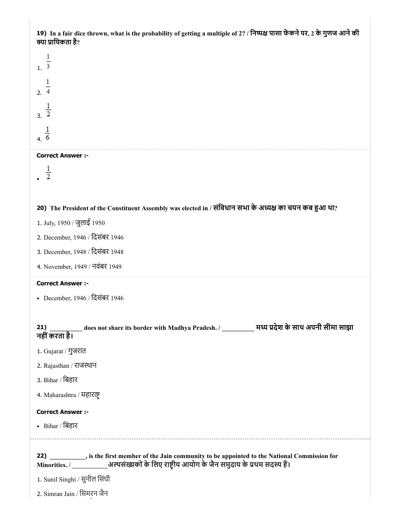19) In a fair dice thrown, what is the probability of getting a multiple of 2? / निष्पक्ष पासा फेंकने पर, 2 के गुणज आने की क्या प्रायिकता है?

 $\mathbf{1}$  $1.3$  $\mathbf{1}$  $2.4$  $\frac{1}{3}$  $\frac{1}{6}$ 

### Correct Answer :-

 $\frac{1}{2}$ 

### 20) The President of the Constituent Assembly was elected in / संविधान सभा के अध्यक्ष का चयन कब हुआ था?

- 1. July, 1950 / जुलाई 1950
- 2. December, 1946 / िदसंबर 1946
- 3. December, 1948 / िदसंबर 1948
- 4. November, 1949 / नवंबर 1949

### Correct Answer :-

December, 1946 / िदसंबर 1946

| 21)<br>नहीं करता है।                                        |                                                                                              |  |
|-------------------------------------------------------------|----------------------------------------------------------------------------------------------|--|
| 1. Gujarat / गुजरात                                         |                                                                                              |  |
| 2. Rajasthan / राजस्थान                                     |                                                                                              |  |
| 3. Bihar / बिहार                                            |                                                                                              |  |
| 4. Maharashtra / महाराष्ट्र                                 |                                                                                              |  |
| <b>Correct Answer :-</b>                                    |                                                                                              |  |
| • Bihar / बिहार                                             |                                                                                              |  |
| 1. Sunil Singhi / सुनील सिंघी<br>2. Simran Jain / सिमरन जैन | 22) si the first member of the Jain community to be appointed to the National Commission for |  |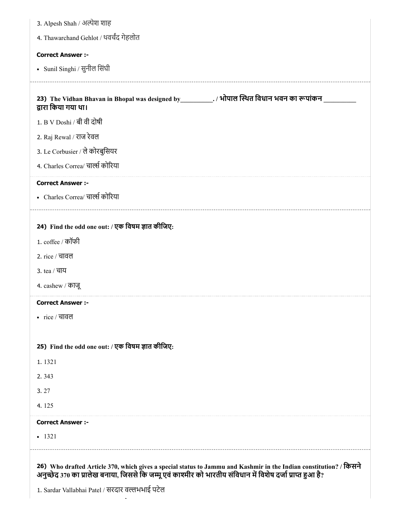| 3. Alpesh Shah / अल्पेश शाह                                                                                                                                                                                                      |
|----------------------------------------------------------------------------------------------------------------------------------------------------------------------------------------------------------------------------------|
| 4. Thawarchand Gehlot / थवर्चंद गेहलोत                                                                                                                                                                                           |
| <b>Correct Answer :-</b>                                                                                                                                                                                                         |
| - Sunil Singhi / सुनील सिंघी                                                                                                                                                                                                     |
|                                                                                                                                                                                                                                  |
| 23) The Vidhan Bhavan in Bhopal was designed by ____________. / भोपाल स्थित विधान भवन का रूपांकन<br>द्वारा किया गया था।                                                                                                          |
| 1. B V Doshi / बी वी दोषी                                                                                                                                                                                                        |
| 2. Raj Rewal / राज रेवल                                                                                                                                                                                                          |
| 3. Le Corbusier / ले कोरबुसियर                                                                                                                                                                                                   |
| 4. Charles Correa/ चार्ल्स कोरिया                                                                                                                                                                                                |
| <b>Correct Answer :-</b>                                                                                                                                                                                                         |
| • Charles Correa/ चार्ल्स कोरिया                                                                                                                                                                                                 |
|                                                                                                                                                                                                                                  |
| 24) Find the odd one out: / एक विषम ज्ञात कीजिए:                                                                                                                                                                                 |
| 1. coffee / कॉफी                                                                                                                                                                                                                 |
| 2. rice / चावल                                                                                                                                                                                                                   |
| 3. tea / चाय                                                                                                                                                                                                                     |
| 4. cashew / काजू                                                                                                                                                                                                                 |
| <b>Correct Answer :-</b>                                                                                                                                                                                                         |
| • $rice / \overline{q}$ वावल                                                                                                                                                                                                     |
|                                                                                                                                                                                                                                  |
| 25) Find the odd one out: / एक विषम ज्ञात कीजिए:                                                                                                                                                                                 |
| 1.1321                                                                                                                                                                                                                           |
| 2.343                                                                                                                                                                                                                            |
| 3.27                                                                                                                                                                                                                             |
| 4.125                                                                                                                                                                                                                            |
| <b>Correct Answer :-</b>                                                                                                                                                                                                         |
| $-1321$                                                                                                                                                                                                                          |
|                                                                                                                                                                                                                                  |
| 26) Who drafted Article 370, which gives a special status to Jammu and Kashmir in the Indian constitution? / किसने<br>अनुच्छेद 370 का प्रालेख बनाया, जिससे कि जम्मू एवं काश्मीर को भारतीय संविधान में विशेष दर्जा प्राप्त हुआ है |
| <u>ut : D-+-1 (ਗਰਤਾਰ ਰਲਗੁਆਰੀ ਸਤੇਕ</u>                                                                                                                                                                                            |

 $\overline{\phantom{a}}$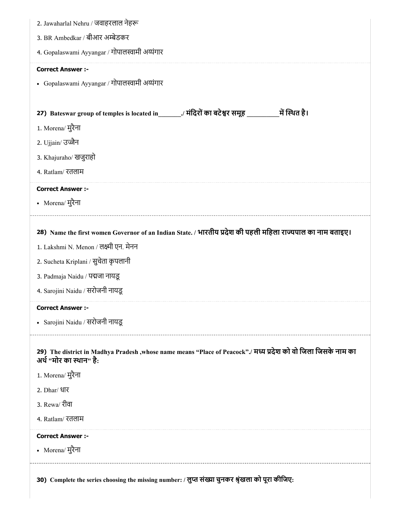| 2. Jawaharlal Nehru / जवाहरलाल नेहरू                                                                                                     |
|------------------------------------------------------------------------------------------------------------------------------------------|
| 3. BR Ambedkar / बीआर अम्बेडकर                                                                                                           |
| 4. Gopalaswami Ayyangar / गोपालस्वामी अय्यंगार                                                                                           |
| <b>Correct Answer :-</b>                                                                                                                 |
| • Gopalaswami Ayyangar / गोपालस्वामी अय्यंगार                                                                                            |
|                                                                                                                                          |
| 27) Bateswar group of temples is located in _______/ मंदिरों का बटेश्वर समूह _______________________ में स्थित है।                       |
| 1. Morena/ मुरैना                                                                                                                        |
| 2. Ujjain/ उज्जैन                                                                                                                        |
| 3. Khajuraho/ खजुराहो                                                                                                                    |
| 4. Ratlam/ रतलाम                                                                                                                         |
| <b>Correct Answer :-</b>                                                                                                                 |
| • Morena/ मुरैना                                                                                                                         |
|                                                                                                                                          |
| 28) Name the first women Governor of an Indian State. / भारतीय प्रदेश की पहली महिला राज्यपाल का नाम बताइए।                               |
| 1. Lakshmi N. Menon / लक्ष्मी एन. मेनन                                                                                                   |
| 2. Sucheta Kriplani / सुचेता कृपलानी                                                                                                     |
| 3. Padmaja Naidu / पद्मजा नायडू                                                                                                          |
| 4. Sarojini Naidu / सरोजनी नायडू                                                                                                         |
| Correct Answer :-                                                                                                                        |
| • Sarojini Naidu / सरोजनी नायडू                                                                                                          |
|                                                                                                                                          |
| 29) The district in Madhya Pradesh ,whose name means "Place of Peacock"./ मध्य प्रदेश को वो जिला जिसके नाम का<br>अर्थ "मोर का स्थान" है: |
| 1. Morena/ मुरैना                                                                                                                        |
| 2. Dhar/ धार                                                                                                                             |
| 3. Rewa/ रीवा                                                                                                                            |
| 4. Ratlam/ रतलाम                                                                                                                         |
| <b>Correct Answer:-</b>                                                                                                                  |
| • Morena/ मुरैना                                                                                                                         |
|                                                                                                                                          |
| 30) Complete the series choosing the missing number: / लुप्त संख्या चुनकर श्रृंखला को पूरा कीजिए:                                        |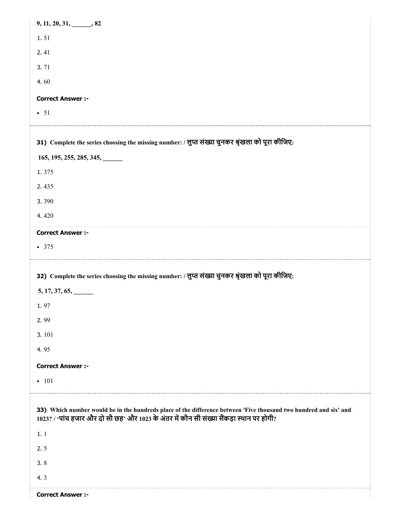| $9, 11, 20, 31, \underline{\hspace{1cm}} 82$                                                                                                                                                                  |
|---------------------------------------------------------------------------------------------------------------------------------------------------------------------------------------------------------------|
| 1.51                                                                                                                                                                                                          |
| 2.41                                                                                                                                                                                                          |
| 3.71                                                                                                                                                                                                          |
| 4.60                                                                                                                                                                                                          |
| <b>Correct Answer :-</b>                                                                                                                                                                                      |
| $\bullet$ 51                                                                                                                                                                                                  |
|                                                                                                                                                                                                               |
| 31) Complete the series choosing the missing number: / लुप्त संख्या चुनकर श्रृंखला को पूरा कीजिए:                                                                                                             |
| 165, 195, 255, 285, 345,                                                                                                                                                                                      |
| 1.375                                                                                                                                                                                                         |
| 2.435                                                                                                                                                                                                         |
| 3.390                                                                                                                                                                                                         |
| 4.420                                                                                                                                                                                                         |
| <b>Correct Answer :-</b>                                                                                                                                                                                      |
| • 375                                                                                                                                                                                                         |
|                                                                                                                                                                                                               |
|                                                                                                                                                                                                               |
| 32) Complete the series choosing the missing number: / लुप्त संख्या चुनकर श्रृंखला को पूरा कीजिए:                                                                                                             |
| $5, 17, 37, 65, \underline{\hspace{1.5cm}}$                                                                                                                                                                   |
| 1.97                                                                                                                                                                                                          |
| 2.99                                                                                                                                                                                                          |
| 3.101                                                                                                                                                                                                         |
| 4.95                                                                                                                                                                                                          |
| <b>Correct Answer :-</b>                                                                                                                                                                                      |
| $-101$                                                                                                                                                                                                        |
| 33) Which number would be in the hundreds place of the difference between 'Five thousand two hundred and six' and<br>1023? / 'पांच हजार और दो सौ छह' और 1023 के अंतर में कौन सी संख्या सैंकड़ा स्थान पर होगी? |
|                                                                                                                                                                                                               |
| 1.1<br>2.5                                                                                                                                                                                                    |
| 3.8                                                                                                                                                                                                           |
| 4.3                                                                                                                                                                                                           |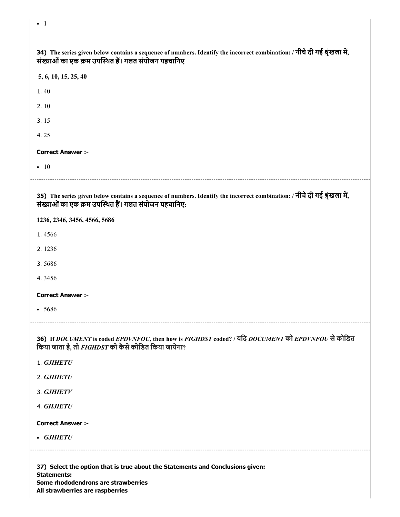| 34) The series given below contains a sequence of numbers. Identify the incorrect combination: / नीचे दी गई श्रृंखला में,<br>संख्याओं का एक क्रम उपस्थित हैं। गलत संयोजन पहचानिए  |
|-----------------------------------------------------------------------------------------------------------------------------------------------------------------------------------|
| 5, 6, 10, 15, 25, 40                                                                                                                                                              |
| 1.40                                                                                                                                                                              |
| 2.10                                                                                                                                                                              |
| 3.15                                                                                                                                                                              |
| 4.25                                                                                                                                                                              |
| <b>Correct Answer :-</b>                                                                                                                                                          |
| $\bullet$ 10                                                                                                                                                                      |
| 35) The series given below contains a sequence of numbers. Identify the incorrect combination: / नीचे दी गई श्रृंखला में,<br>संख्याओं का एक क्रम उपस्थित हैं। गलत संयोजन पहचानिए: |
| 1236, 2346, 3456, 4566, 5686                                                                                                                                                      |
| 1.4566                                                                                                                                                                            |
| 2.1236                                                                                                                                                                            |
| 3.5686                                                                                                                                                                            |
| 4.3456                                                                                                                                                                            |
| <b>Correct Answer :-</b>                                                                                                                                                          |
| • 5686                                                                                                                                                                            |
| 36) If DOCUMENT is coded EPDVNFOU, then how is FIGHDST coded? / यदि DOCUMENT को EPDVNFOU से कोडित<br>किया जाता है, तो FIGHDST को कैसे कोडित किया जायेगा?                          |
| 1. GJIHETU                                                                                                                                                                        |
| 2. GJHIETU                                                                                                                                                                        |
| 3. GJHIETV                                                                                                                                                                        |
| 4. GHJIETU                                                                                                                                                                        |
| <b>Correct Answer :-</b>                                                                                                                                                          |
| • GJHIETU                                                                                                                                                                         |
| 37) Select the option that is true about the Statements and Conclusions given:<br><b>Statements:</b>                                                                              |

Some rhododendrons are strawberries All strawberries are raspberries

• 1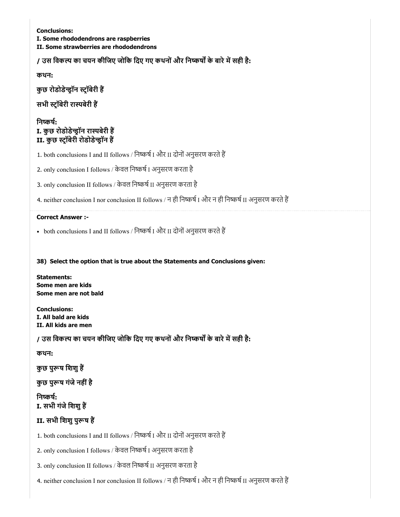Conclusions: I. Some rhododendrons are raspberries II. Some strawberries are rhododendrons

/ उस विकल्प का चयन कीजिए जोकि दिए गए कथनों और निष्कर्षों के बारे में सही है:

कथन:

कुछ रोडोडेन्ड्रॉन स्ट्रॉबेरी हैं

सभी स्ट्रॉबेरी रास्पबेरी हैं

निष्कर्ष: I. कुछ रोडोडेन्ड्रॉन रास्पबेरी हैं II. कुछ स्ट्रॉबेरी रोडोडेन्ड्रॉन हैं

1. both conclusions I and II follows / निष्कर्ष I और II दोनों अनुसरण करते हैं

2. only conclusion I follows / केवल निष्कर्ष I अनुसरण करता है

3. only conclusion II follows / केवल निष्कर्ष II अनुसरण करता है

4. neither conclusion I nor conclusion II follows / न ही निष्कर्ष I और न ही निष्कर्ष II अनुसरण करते हैं

### Correct Answer :-

• both conclusions I and II follows / निष्कर्ष I और II दोनों अनुसरण करते हैं

38) Select the option that is true about the Statements and Conclusions given:

Statements: Some men are kids Some men are not bald

Conclusions: I. All bald are kids II. All kids are men

/ उस विकल्प का चयन कीजिए जोकि दिए गए कथनों और निष्कर्षों के बारे में सही है:

कथन:

कुछ पुरूष शिशु हैं

कुछ पुरूष गंजे नहीं है

निष्कर्ष: I. सभी गंजे शिशु हैं

# II. सभी शिशु पुरूष हैं

1. both conclusions I and II follows / निष्कर्ष I और II दोनों अनुसरण करते हैं

2. only conclusion I follows / केवल निष्कर्ष I अनुसरण करता है

3. only conclusion II follows / केवल निष्कर्ष II अनुसरण करता है

4. neither conclusion I nor conclusion II follows / न ही निष्कर्ष I और न ही निष्कर्ष II अनुसरण करते हैं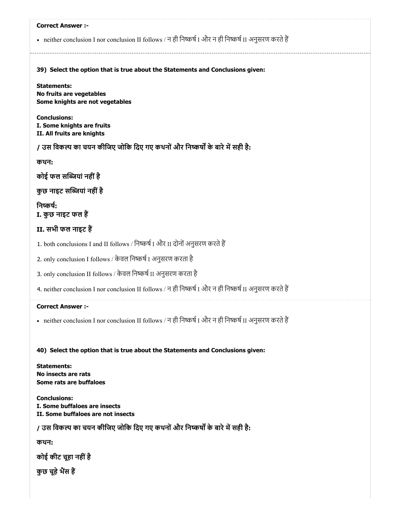# 39) Select the option that is true about the Statements and Conclusions given: Correct Answer :- • neither conclusion I nor conclusion II follows / न ही निष्कर्ष I और न ही निष्कर्ष II अनुसरण करते हैं Statements: No fruits are vegetables Some knights are not vegetables Conclusions: I. Some knights are fruits II. All fruits are knights / उस विकल्प का चयन कीजिए जोकि दिए गए कथनों और निष्कर्षों के बारे में सही है: कथन: कोई फल सयां नहींहै कुछ नाइट सब्जियां नहीं है निष्कर्ष: I. कुछ नाइट फल ह

II. सभी फल नाइट ह

1. both conclusions I and II follows / निष्कर्ष I और II दोनों अनुसरण करते हैं

2. only conclusion I follows / केवल निष्कर्ष I अनुसरण करता है

3. only conclusion II follows / केवल निष्कर्ष II अनुसरण करता है

4. neither conclusion I nor conclusion II follows / न ही निष्कर्ष I और न ही निष्कर्ष II अनुसरण करते हैं

### Correct Answer :-

• neither conclusion I nor conclusion II follows / न ही निष्कर्ष I और न ही निष्कर्ष II अनुसरण करते हैं

40) Select the option that is true about the Statements and Conclusions given:

Statements: No insects are rats Some rats are buffaloes

Conclusions: I. Some buffaloes are insects II. Some buffaloes are not insects

/ उस विकल्प का चयन कीजिए जोकि दिए गए कथनों और निष्कर्षों के बारे में सही है:

कथन:

कोई कीट चूहा नहींहै

कुछ चूहे भैंस हैं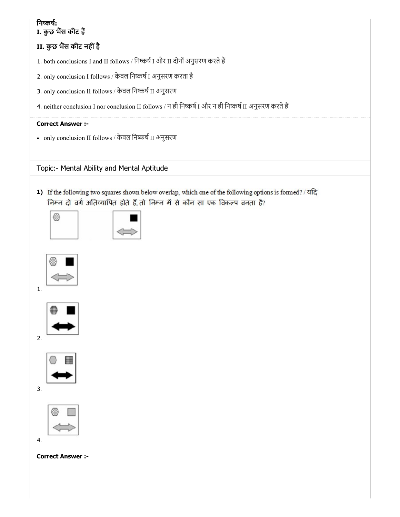# निष्कर्ष: I. कुछ भैंस कीट हैं

# II. कुछ भैंस कीट नहीं है

1. both conclusions I and II follows / निष्कर्ष I और II दोनों अनुसरण करते हैं

- 2. only conclusion I follows / केवल निष्कर्ष I अनुसरण करता है
- 3. only conclusion II follows / केवल निष्कर्ष II अनुसरण
- 4. neither conclusion I nor conclusion II follows / न ही निष्कर्ष I और न ही निष्कर्ष II अनुसरण करते हैं

# Correct Answer :-

• only conclusion II follows / केवल निष्कर्ष II अनुसरण

Topic:- Mental Ability and Mental Aptitude

1) If the following two squares shown below overlap, which one of the following options is formed? / यदि निम्न दो वर्ग अतिव्यापित होते हैं, तो निम्न में से कौन सा एक विकल्प बनता है?





1.





3.

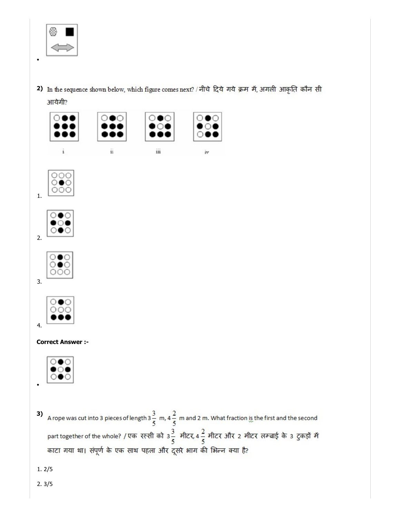

2) In the sequence shown below, which figure comes next? / नीचे दिये गये क्रम में, अगली आकृति कौन सी आयेगी?











### Correct Answer :-



A rope was cut into 3 pieces of length  $3\frac{3}{5}$  m,  $4\frac{2}{5}$  m and 2 m. What fraction is the first and the second 3) part together of the whole? / एक रस्सी को 3 $\frac{3}{5}$  मीटर, 4 $\frac{2}{5}$  मीटर और 2 मीटर लम्बाई के 3 टुकड़ों में काटा गया था। संपूर्ण के एक साथ पहला और दूसरे भाग की भिन्न क्या है?

1. 2/5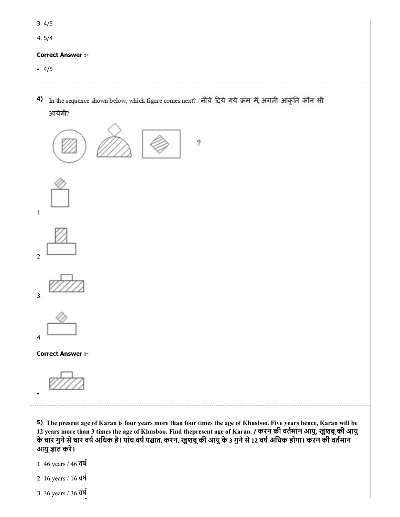| 3.4/5                    |  |
|--------------------------|--|
| 4.5/4                    |  |
|                          |  |
| <b>Correct Answer :-</b> |  |

4) In the sequence shown below, which figure comes next? / नीचे दिये गये क्रम में, अगली आकृति कौन सी आयेगी?



12 years more than 3 times the age of Khusboo. Find thepresent age of Karan. / करन की वतमान आयु, खुशबूकी आयु के चार गुने से चार वर्ष अधिक है। पांच वर्ष पश्चात, करन, खुशबू की आयु के 3 गुने से 12 वर्ष अधिक होगा। करन की वतमान आयु ज्ञात करें।

- 1. 46 years / 46 वष
- 2. 16 years / 16 वष
- 3. 36 years / 36 वष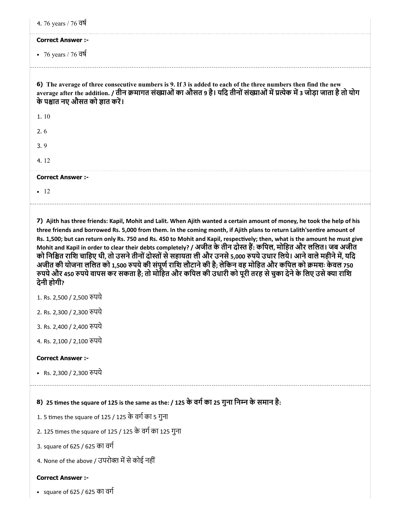| 4. 76 years / 76 वर्ष                                                                                                                                                                       |                                                                                                                                                                                                                                                                                                                                                                                                                                                                                                                                                                                                                                                                                                                                                                                                                                                        |
|---------------------------------------------------------------------------------------------------------------------------------------------------------------------------------------------|--------------------------------------------------------------------------------------------------------------------------------------------------------------------------------------------------------------------------------------------------------------------------------------------------------------------------------------------------------------------------------------------------------------------------------------------------------------------------------------------------------------------------------------------------------------------------------------------------------------------------------------------------------------------------------------------------------------------------------------------------------------------------------------------------------------------------------------------------------|
| <b>Correct Answer :-</b>                                                                                                                                                                    |                                                                                                                                                                                                                                                                                                                                                                                                                                                                                                                                                                                                                                                                                                                                                                                                                                                        |
| • 76 years / 76 $\overline{d}$                                                                                                                                                              |                                                                                                                                                                                                                                                                                                                                                                                                                                                                                                                                                                                                                                                                                                                                                                                                                                                        |
|                                                                                                                                                                                             | 6) The average of three consecutive numbers is 9. If 3 is added to each of the three numbers then find the new<br>average after the addition. / तीन क्रमागत संख्याओं का औसत 9 है। यदि तीनों संख्याओं में प्रत्येक में 3 जोड़ा जाता है तो योग<br>के पश्चात नए औसत को ज्ञात करें।                                                                                                                                                                                                                                                                                                                                                                                                                                                                                                                                                                        |
| 1.10                                                                                                                                                                                        |                                                                                                                                                                                                                                                                                                                                                                                                                                                                                                                                                                                                                                                                                                                                                                                                                                                        |
| 2.6                                                                                                                                                                                         |                                                                                                                                                                                                                                                                                                                                                                                                                                                                                                                                                                                                                                                                                                                                                                                                                                                        |
| 3.9                                                                                                                                                                                         |                                                                                                                                                                                                                                                                                                                                                                                                                                                                                                                                                                                                                                                                                                                                                                                                                                                        |
| 4.12                                                                                                                                                                                        |                                                                                                                                                                                                                                                                                                                                                                                                                                                                                                                                                                                                                                                                                                                                                                                                                                                        |
| <b>Correct Answer :-</b>                                                                                                                                                                    |                                                                                                                                                                                                                                                                                                                                                                                                                                                                                                                                                                                                                                                                                                                                                                                                                                                        |
| $\bullet$ 12                                                                                                                                                                                |                                                                                                                                                                                                                                                                                                                                                                                                                                                                                                                                                                                                                                                                                                                                                                                                                                                        |
| देनी होगी?<br>1. Rs. 2,500 / 2,500 रुपये<br>2. Rs. 2,300 / 2,300 रुपये<br>3. Rs. 2,400 / 2,400 रुपये<br>4. Rs. 2,100 / 2,100 रुपये<br><b>Correct Answer :-</b><br>• Rs. 2,300 / 2,300 रुपये | 7) Ajith has three friends: Kapil, Mohit and Lalit. When Ajith wanted a certain amount of money, he took the help of his<br>three friends and borrowed Rs. 5,000 from them. In the coming month, if Ajith plans to return Lalith'sentire amount of<br>Rs. 1,500; but can return only Rs. 750 and Rs. 450 to Mohit and Kapil, respectively; then, what is the amount he must give<br>Mohit and Kapil in order to clear their debts completely? / अजीत के तीन दोस्त हैं: कपिल, मोहित और ललित। जब अजीत<br>को निश्चित राशि चाहिए थी, तो उसने तीनों दोस्तों से सहायता ली और उनसे 5,000 रुपये उधार लिये। आने वाले महीने में, यदि<br>अजीत की योजना ललित को 1,500 रुपये की संपूर्ण राशि लौटाने की है; लेकिन वह मोहित और कपिल को क्रमशः केवल 750<br>रुपये और 450 रुपये वापस कर सकता है; तो मोहित और कपिल की उधारी को पूरी तरह से चुका देने के लिए उसे क्या राशि |
|                                                                                                                                                                                             | 8) 25 times the square of 125 is the same as the: / 125 के वर्ग का 25 गुना निम्न के समान है:                                                                                                                                                                                                                                                                                                                                                                                                                                                                                                                                                                                                                                                                                                                                                           |
|                                                                                                                                                                                             | 1. 5 times the square of 125 / 125 के वर्ग का 5 गुना                                                                                                                                                                                                                                                                                                                                                                                                                                                                                                                                                                                                                                                                                                                                                                                                   |
|                                                                                                                                                                                             | 2. 125 times the square of 125 / 125 के वर्ग का 125 गुना                                                                                                                                                                                                                                                                                                                                                                                                                                                                                                                                                                                                                                                                                                                                                                                               |
| 3. square of 625 / 625 का वर्ग                                                                                                                                                              |                                                                                                                                                                                                                                                                                                                                                                                                                                                                                                                                                                                                                                                                                                                                                                                                                                                        |
|                                                                                                                                                                                             | 4. None of the above / उपरोक्त में से कोई नहीं                                                                                                                                                                                                                                                                                                                                                                                                                                                                                                                                                                                                                                                                                                                                                                                                         |
| <b>Correct Answer :-</b>                                                                                                                                                                    |                                                                                                                                                                                                                                                                                                                                                                                                                                                                                                                                                                                                                                                                                                                                                                                                                                                        |
| • square of 625 / 625 का वर्ग                                                                                                                                                               |                                                                                                                                                                                                                                                                                                                                                                                                                                                                                                                                                                                                                                                                                                                                                                                                                                                        |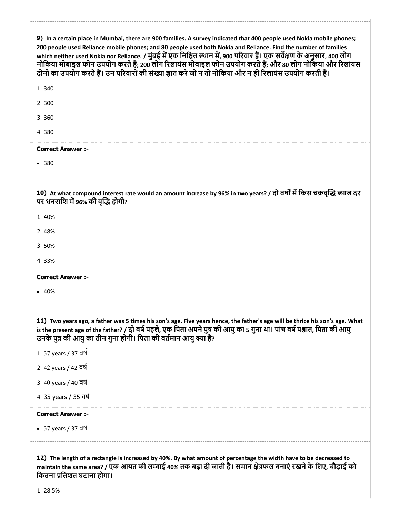| 9) In a certain place in Mumbai, there are 900 families. A survey indicated that 400 people used Nokia mobile phones;<br>200 people used Reliance mobile phones; and 80 people used both Nokia and Reliance. Find the number of families<br>which neither used Nokia nor Reliance. / मुंबई में एक निश्चित स्थान में, 900 परिवार हैं। एक सर्वेक्षण के अनुसार, 400 लोग<br>नोकिया मोबाइल फोन उपयोग करते हैं; 200 लोग रिलायंस मोबाइल फोन उपयोग करते हैं; और 80 लोग नोकिया और रिलांयस<br>दोनों का उपयोग करते हैं। उन परिवारों की संख्या ज्ञात करें जो न तो नोकिया और न ही रिलायंस उपयोग करती हैं। |
|----------------------------------------------------------------------------------------------------------------------------------------------------------------------------------------------------------------------------------------------------------------------------------------------------------------------------------------------------------------------------------------------------------------------------------------------------------------------------------------------------------------------------------------------------------------------------------------------|
| 1.340                                                                                                                                                                                                                                                                                                                                                                                                                                                                                                                                                                                        |
| 2.300                                                                                                                                                                                                                                                                                                                                                                                                                                                                                                                                                                                        |
| 3.360                                                                                                                                                                                                                                                                                                                                                                                                                                                                                                                                                                                        |
| 4.380                                                                                                                                                                                                                                                                                                                                                                                                                                                                                                                                                                                        |
| <b>Correct Answer :-</b>                                                                                                                                                                                                                                                                                                                                                                                                                                                                                                                                                                     |
| • 380                                                                                                                                                                                                                                                                                                                                                                                                                                                                                                                                                                                        |
|                                                                                                                                                                                                                                                                                                                                                                                                                                                                                                                                                                                              |
| 10) At what compound interest rate would an amount increase by 96% in two years? / दो वर्षों में किस चक्रवृद्धि ब्याज दर<br>पर धनराशि में 96% की वृद्धि होगी?                                                                                                                                                                                                                                                                                                                                                                                                                                |
| 1.40%                                                                                                                                                                                                                                                                                                                                                                                                                                                                                                                                                                                        |
| 2.48%                                                                                                                                                                                                                                                                                                                                                                                                                                                                                                                                                                                        |
| 3.50%                                                                                                                                                                                                                                                                                                                                                                                                                                                                                                                                                                                        |
| 4.33%                                                                                                                                                                                                                                                                                                                                                                                                                                                                                                                                                                                        |
| <b>Correct Answer :-</b>                                                                                                                                                                                                                                                                                                                                                                                                                                                                                                                                                                     |
| • 40%                                                                                                                                                                                                                                                                                                                                                                                                                                                                                                                                                                                        |
|                                                                                                                                                                                                                                                                                                                                                                                                                                                                                                                                                                                              |
| 11) Two years ago, a father was 5 times his son's age. Five years hence, the father's age will be thrice his son's age. What<br>is the present age of the father? / दो वर्ष पहले, एक पिता अपने पुत्र की आयु का 5 गुना था। पांच वर्ष पश्चात, पिता की आयु<br>उनके पुत्र की आयु का तीन गुना होगी। पिता की वर्तमान आयु क्या है?                                                                                                                                                                                                                                                                  |
| 1.37 years / 37 বর্ষ                                                                                                                                                                                                                                                                                                                                                                                                                                                                                                                                                                         |
| 2.42 years / 42 वर्ष                                                                                                                                                                                                                                                                                                                                                                                                                                                                                                                                                                         |
| 3.40 years / 40 वर्ष                                                                                                                                                                                                                                                                                                                                                                                                                                                                                                                                                                         |
| 4.35 years / 35 वर्ष                                                                                                                                                                                                                                                                                                                                                                                                                                                                                                                                                                         |
| <b>Correct Answer :-</b>                                                                                                                                                                                                                                                                                                                                                                                                                                                                                                                                                                     |
| • 37 years / 37 বর্ষ                                                                                                                                                                                                                                                                                                                                                                                                                                                                                                                                                                         |
|                                                                                                                                                                                                                                                                                                                                                                                                                                                                                                                                                                                              |
| 12) The length of a rectangle is increased by 40%. By what amount of percentage the width have to be decreased to<br>maintain the same area? / एक आयत की लम्बाई 40% तक बढ़ा दी जाती है। समान क्षेत्रफल बनाएं रखने के लिए, चौड़ाई को                                                                                                                                                                                                                                                                                                                                                          |

िकतना ितशत घटाना होगा।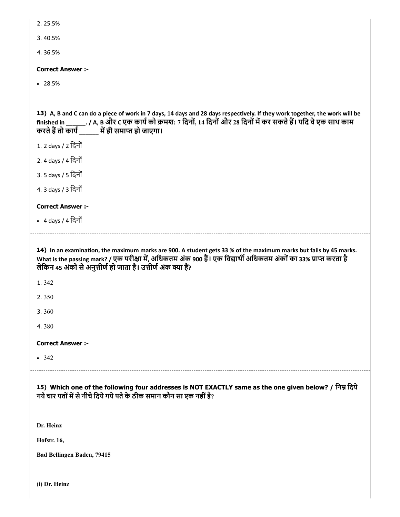| 2.25.5%                                                                                                                                                                                                                                                                                                   |
|-----------------------------------------------------------------------------------------------------------------------------------------------------------------------------------------------------------------------------------------------------------------------------------------------------------|
| 3.40.5%                                                                                                                                                                                                                                                                                                   |
| 4.36.5%                                                                                                                                                                                                                                                                                                   |
| <b>Correct Answer:-</b>                                                                                                                                                                                                                                                                                   |
| • 28.5%                                                                                                                                                                                                                                                                                                   |
|                                                                                                                                                                                                                                                                                                           |
| 13) A, B and C can do a piece of work in 7 days, 14 days and 28 days respectively. If they work together, the work will be<br>finished in _______. / A, B और C एक कार्य को क्रमश: 7 दिनों, 14 दिनों और 28 दिनों में कर सकते हैं। यदि वे एक साथ काम<br>करते हैं तो कार्य ______ में ही समाप्त हो जाएगा।    |
| 1. 2 days / 2 दिनों                                                                                                                                                                                                                                                                                       |
| 2. 4 days / 4 दिनों                                                                                                                                                                                                                                                                                       |
| 3.5 days / 5 दिनों                                                                                                                                                                                                                                                                                        |
| 4. 3 days / 3 दिनों                                                                                                                                                                                                                                                                                       |
| <b>Correct Answer :-</b>                                                                                                                                                                                                                                                                                  |
| • 4 days / 4 दिनों                                                                                                                                                                                                                                                                                        |
|                                                                                                                                                                                                                                                                                                           |
| 14) In an examination, the maximum marks are 900. A student gets 33 % of the maximum marks but fails by 45 marks.<br>What is the passing mark? / एक परीक्षा में, अधिकतम अंक 900 हैं। एक विद्यार्थी अधिकतम अंकों का 33% प्राप्त करता है<br>लेकिन 45 अंकों से अनुत्तीर्ण हो जाता है। उत्तीर्ण अंक क्या हैं? |
| 1.342                                                                                                                                                                                                                                                                                                     |
| 2.350                                                                                                                                                                                                                                                                                                     |
| 3.360                                                                                                                                                                                                                                                                                                     |
| 4.380                                                                                                                                                                                                                                                                                                     |
| <b>Correct Answer :-</b>                                                                                                                                                                                                                                                                                  |
| • 342                                                                                                                                                                                                                                                                                                     |
| 15) Which one of the following four addresses is NOT EXACTLY same as the one given below? / निम्न दिये<br>गये चार पतों में से नीचे दिये गये पते के ठीक समान कौन सा एक नहीं है?                                                                                                                            |
| Dr. Heinz                                                                                                                                                                                                                                                                                                 |
| <b>Hofstr. 16,</b>                                                                                                                                                                                                                                                                                        |

(i) Dr. Heinz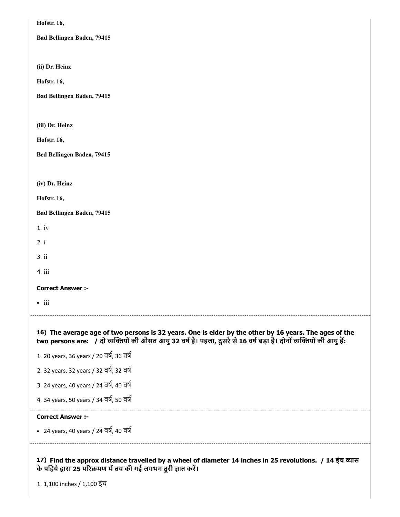| 3. 24 years, 40 years / 24 বর্ষ, 40 বর্ষ<br>4. 34 years, 50 years / 34 वर्ष, 50 वर्ष<br><b>Correct Answer:-</b><br>• 24 years, 40 years / 24 বর্ষ, 40 বর্ষ                                                                     |
|--------------------------------------------------------------------------------------------------------------------------------------------------------------------------------------------------------------------------------|
| 1. 20 years, 36 years / 20 वर्ष, 36 वर्ष<br>2. 32 years, 32 years / 32 वर्ष, 32 वर्ष                                                                                                                                           |
| 16) The average age of two persons is 32 years. One is elder by the other by 16 years. The ages of the<br>two persons are: / दो व्यक्तियों की औसत आयु 32 वर्ष है। पहला, दूसरे से 16 वर्ष बड़ा है। दोनों व्यक्तियों की आयु हैं: |
| $\bullet$ iii                                                                                                                                                                                                                  |
| <b>Correct Answer :-</b>                                                                                                                                                                                                       |
| 4. iii                                                                                                                                                                                                                         |
| 3. ii                                                                                                                                                                                                                          |
| 2. i                                                                                                                                                                                                                           |
| Bad Bellingen Baden, 79415<br>1.iv                                                                                                                                                                                             |
| Hofstr. 16,                                                                                                                                                                                                                    |
| (iv) Dr. Heinz                                                                                                                                                                                                                 |
|                                                                                                                                                                                                                                |
| Bed Bellingen Baden, 79415                                                                                                                                                                                                     |
| Hofstr. 16,                                                                                                                                                                                                                    |
| (iii) Dr. Heinz                                                                                                                                                                                                                |
| Bad Bellingen Baden, 79415                                                                                                                                                                                                     |
| Hofstr. 16,                                                                                                                                                                                                                    |
| (ii) Dr. Heinz                                                                                                                                                                                                                 |
| Bad Bellingen Baden, 79415                                                                                                                                                                                                     |
| Hofstr. 16,                                                                                                                                                                                                                    |
|                                                                                                                                                                                                                                |

1. 1,100 inches / 1,100 इंच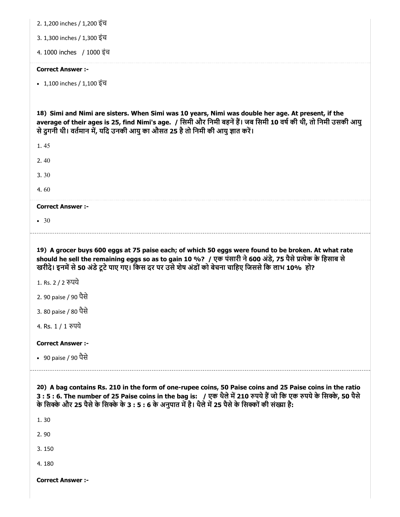| 2. 1,200 inches / 1,200 इंच                                                                                                                                                                                                                                                                                                                                       |
|-------------------------------------------------------------------------------------------------------------------------------------------------------------------------------------------------------------------------------------------------------------------------------------------------------------------------------------------------------------------|
| 3. 1,300 inches / 1,300 इंच                                                                                                                                                                                                                                                                                                                                       |
| 4. 1000 inches / 1000 इंच                                                                                                                                                                                                                                                                                                                                         |
| <b>Correct Answer :-</b>                                                                                                                                                                                                                                                                                                                                          |
| • 1,100 inches / 1,100 इंच                                                                                                                                                                                                                                                                                                                                        |
|                                                                                                                                                                                                                                                                                                                                                                   |
| 18) Simi and Nimi are sisters. When Simi was 10 years, Nimi was double her age. At present, if the<br>average of their ages is 25, find Nimi's age. / सिमी और निमी बहनें हैं। जब सिमी 10 वर्ष की थी, तो निमी उसकी आयु<br>से दुगनी थी। वर्तमान में, यदि उनकी आयु का औसत 25 है तो निमी की आयु ज्ञात करें।                                                           |
| 1.45                                                                                                                                                                                                                                                                                                                                                              |
| 2,40                                                                                                                                                                                                                                                                                                                                                              |
| 3.30                                                                                                                                                                                                                                                                                                                                                              |
| 4.60                                                                                                                                                                                                                                                                                                                                                              |
| <b>Correct Answer :-</b>                                                                                                                                                                                                                                                                                                                                          |
| • 30                                                                                                                                                                                                                                                                                                                                                              |
| 19) A grocer buys 600 eggs at 75 paise each; of which 50 eggs were found to be broken. At what rate                                                                                                                                                                                                                                                               |
| should he sell the remaining eggs so as to gain 10 %? / एक पंसारी ने 600 अंडे, 75 पैसे प्रत्येक के हिसाब से<br>खरीदे। इनमें से 50 अंडे टूटे पाए गए। किस दर पर उसे शेष अंडों को बेचना चाहिए जिससे कि लाभ 10% हो?<br>1. Rs. 2 / 2 रुपये<br>2. 90 paise / 90 पैसे<br>3. 80 paise / 80 पैसे<br>4. Rs. 1 / 1 रुपये<br><b>Correct Answer :-</b><br>• 90 paise / 90 पैसे |
| 20) A bag contains Rs. 210 in the form of one-rupee coins, 50 Paise coins and 25 Paise coins in the ratio<br>3:5:6. The number of 25 Paise coins in the bag is: / एक थैले में 210 रुपये हैं जो कि एक रुपये के सिक्के, 50 पैसे<br>के सिक्के और 25 पैसे के सिक्के के 3 : 5 : 6 के अनुपात में है। थैले में 25 पैसे के सिक्कों की संख्या है:<br>1.30                  |
| 2.90                                                                                                                                                                                                                                                                                                                                                              |
| 3.150                                                                                                                                                                                                                                                                                                                                                             |
| 4.180                                                                                                                                                                                                                                                                                                                                                             |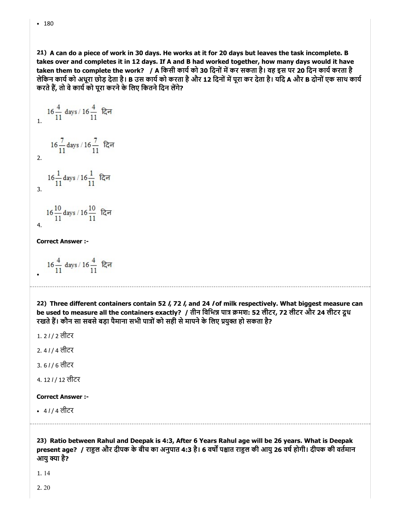$• 180$ 

21) A can do a piece of work in 30 days. He works at it for 20 days but leaves the task incomplete. B takes over and completes it in 12 days. If A and B had worked together, how many days would it have taken them to complete the work? / A किसी कार्य को 30 दिनों में कर सकता है। वह इस पर 20 दिन कार्य करता है लेकिन कार्य को अधूरा छोड़ देता है। B उस कार्य को करता है और 12 दिनों में पूरा कर देता है। यदि A और B दोनों एक साथ कार्य करते हैं, तो वे कार्य को पूरा करने के लिए कितने दिन लेंगे?

16 
$$
\frac{4}{11}
$$
 days / 16  $\frac{4}{11}$   $\frac{4}{11}$   $\frac{4}{11}$   $\frac{4}{11}$   $\frac{4}{11}$   $\frac{4}{11}$   $\frac{4}{11}$   $\frac{4}{11}$   $\frac{4}{11}$   $\frac{4}{11}$   $\frac{4}{11}$   $\frac{4}{11}$   $\frac{4}{11}$   $\frac{4}{11}$   $\frac{4}{11}$   $\frac{4}{11}$   $\frac{4}{11}$   $\frac{4}{11}$   $\frac{4}{11}$ 

4.

Correct Answer :-

 $16\frac{4}{11}$  days /  $16\frac{4}{11}$  दिन

22) Three different containers contain 52 /, 72 /, and 24 / of milk respectively. What biggest measure can be used to measure all the containers exactly? / तीन विभिन्न पात्र क्रमश: 52 लीटर, 72 लीटर और 24 लीटर दूध रखते हैं। कौन सा सबसे बड़ा पैमाना सभी पात्रों को सही से मापने के लिए प्रयुक्त हो सकता है?

1. 2 l / 2 लीटर

- 2. 4 l / 4 लीटर
- 3. 6 l / 6 लीटर
- 4. 12 l / 12 लीटर

### Correct Answer :-

4 l / 4 लीटर

23) Ratio between Rahul and Deepak is 4:3, After 6 Years Rahul age will be 26 years. What is Deepak present age? / राहुल और दीपक के बीच का अनुपात 4:3 है। 6 वर्षों पश्चात राहुल की आयु 26 वर्ष होगी। दीपक की वर्तमान आय क्या है?

1. 14

2. 20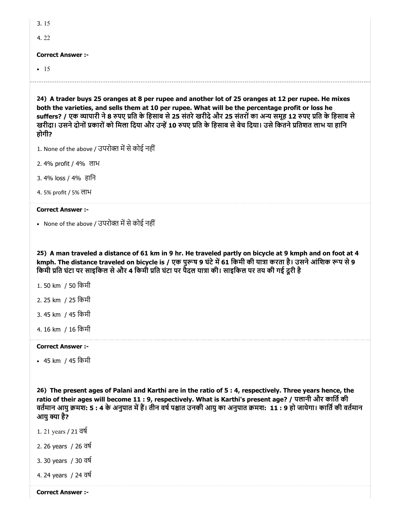| 3.15                     |
|--------------------------|
| 4.22                     |
| <b>Correct Answer :-</b> |
|                          |
| $\cdot$ 15               |

24) A trader buys 25 oranges at 8 per rupee and another lot of 25 oranges at 12 per rupee. He mixes both the varieties, and sells them at 10 per rupee. What will be the percentage profit or loss he suffers? / एक व्यापारी ने 8 रुपए प्रति के हिसाब से 25 संतरे खरीदे और 25 संतरों का अन्य समह 12 रुपए प्रति के हिसाब से खरीदा। उसने दोनों प्रकारों को मिला दिया और उन्हें 10 रुपए प्रति के हिसाब से बेच दिया। उसे कितने प्रतिशत लाभ या हानि होगी?

1. None of the above / उपरोक्त में से कोई नहीं

2. 4% profit / 4% लाभ

3. 4% loss / 4% हािन

4. 5% profit / 5% लाभ

#### Correct Answer :-

• None of the above / उपरोक्त में से कोई नहीं

25) A man traveled a distance of 61 km in 9 hr. He traveled partly on bicycle at 9 kmph and on foot at 4 kmph. The distance traveled on bicycle is / एक पुरूष 9 घंटे में 61 किमी की यात्रा करता है। उसने आंशिक रूप से 9 किमी प्रति घंटा पर साइकिल से और 4 किमी प्रति घंटा पर पैदल यात्रा की। साइकिल पर तय की गई दूरी है

- 1. 50 km / 50 िकमी
- 2. 25 km / 25 िकमी
- 3. 45 km / 45 िकमी
- 4. 16 km / 16 िकमी

### Correct Answer :-

45 km / 45 िकमी

26) The present ages of Palani and Karthi are in the ratio of 5 : 4, respectively. Three years hence, the ratio of their ages will become 11 : 9, respectively. What is Karthi's present age? / पलानी और कार्ति की वर्तमान आयु क्रमश: 5 : 4 के अनुपात में हैं। तीन वर्ष पश्चात उनकी आयु का अनुपात क्रमश: 11 : 9 हो जायेगा। कार्ति की वर्तमान आयु क्या है?

- 1. 21 years / 21 वष
- 2. 26 years / 26 वष
- 3. 30 years / 30 वष

4. 24 years / 24 वष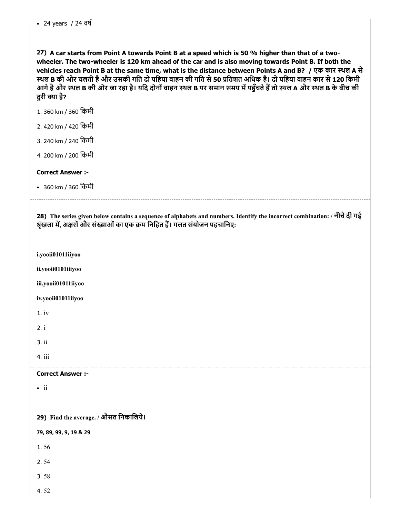27) A car starts from Point A towards Point B at a speed which is 50 % higher than that of a twowheeler. The two-wheeler is 120 km ahead of the car and is also moving towards Point B. If both the vehicles reach Point B at the same time, what is the distance between Points A and B? / एक कार थल A से स्थल B की ओर चलती है और उसकी गति दो पहिया वाहन की गति से 50 प्रतिशत अधिक है। दो पहिया वाहन कार से 120 किमी आगे है और स्थल B की ओर जा रहा है। यदि दोनों वाहन स्थल B पर समान समय में पहुँचते हैं तो स्थल A और स्थल B के बीच की दूरी क्या है?

1. 360 km / 360 िकमी

- 2. 420 km / 420 िकमी
- 3. 240 km / 240 िकमी
- 4. 200 km / 200 िकमी

### Correct Answer :-

• 360 km / 360 किमी

28) The series given below contains a sequence of alphabets and numbers. Identify the incorrect combination: / नीचेदी गई श्रृंखला में, अक्षरों और संख्याओं का एक क्रम निहित हैं। गलत संयोजन पहचानिए:

i.yooii01011iiyoo

ii.yooii0101iiiyoo

iii.yooii01011iiyoo

iv.yooii01011iiyoo

1. iv

2. i

3. ii

4. iii

### Correct Answer :-

 $\bullet$  ii

29) Find the average. / औसत िनकािलये।

79, 89, 99, 9, 19 & 29

1. 56

2. 54

- 3. 58
- 4. 52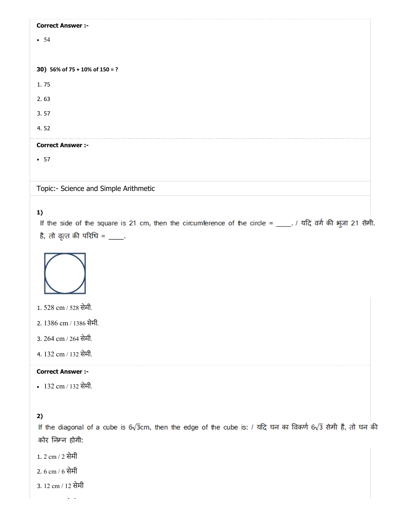| <b>Correct Answer :-</b>              |  |
|---------------------------------------|--|
| • 54                                  |  |
|                                       |  |
| 30) 56% of 75 + 10% of 150 = ?        |  |
| 1.75                                  |  |
| 2.63                                  |  |
| 3.57                                  |  |
| 4.52                                  |  |
| <b>Correct Answer :-</b>              |  |
| $\cdot$ 57                            |  |
|                                       |  |
| Topic:- Science and Simple Arithmetic |  |

# 1)

If the side of the square is 21 cm, then the circumference of the circle = \_\_\_\_. / यदि वर्ग की भुजा 21 सेमी. है, तो वृत्त की परिधि = \_\_\_\_.



1. 528 cm / 528 सेमी.

2. 1386 cm / 1386 सेमी.

- 3. 264 cm / 264 सेमी.
- 4. 132 cm / 132 सेमी.

### Correct Answer :-

132 cm / 132 सेमी.

# 2)

If the diagonal of a cube is  $6\sqrt{3}$ cm, then the edge of the cube is: / यदि घन का विकर्ण  $6\sqrt{3}$  सेमी है, तो घन की कोर निम्न होगी:

- 1. 2 cm / 2 सेमी
- 2. 6 cm / 6 सेमी
- 3. 12 cm / 12 सेमी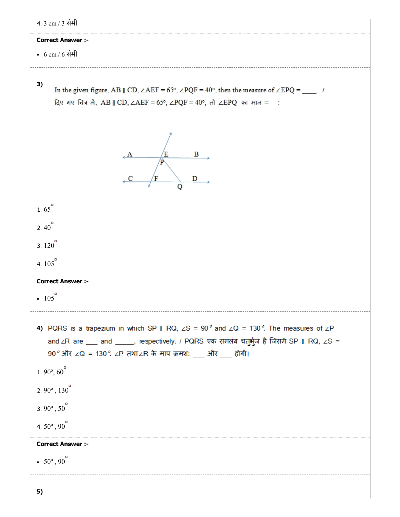| 4.3 cm / 3 सेमी                                                                                                                                                                                                                                                                                                                                                              |
|------------------------------------------------------------------------------------------------------------------------------------------------------------------------------------------------------------------------------------------------------------------------------------------------------------------------------------------------------------------------------|
| <b>Correct Answer :-</b>                                                                                                                                                                                                                                                                                                                                                     |
| • $6 \text{ cm} / 6$ सेमी                                                                                                                                                                                                                                                                                                                                                    |
| 3)<br>In the given figure, AB    CD, $\angle$ AEF = 65°, $\angle$ PQF = 40°, then the measure of $\angle$ EPQ = ____. /<br>दिए गए चित्र में, AB    CD, ∠AEF = 65°, ∠PQF = 40°, तो ∠EPQ का मान = :                                                                                                                                                                            |
| B<br>Έ<br>Þ<br>D                                                                                                                                                                                                                                                                                                                                                             |
| 1.65 $^{\circ}$                                                                                                                                                                                                                                                                                                                                                              |
| $2.40^{\circ}$                                                                                                                                                                                                                                                                                                                                                               |
| 3. $120^{\circ}$                                                                                                                                                                                                                                                                                                                                                             |
| 4. $105^{\circ}$                                                                                                                                                                                                                                                                                                                                                             |
| <b>Correct Answer :-</b>                                                                                                                                                                                                                                                                                                                                                     |
| • $105^{\circ}$                                                                                                                                                                                                                                                                                                                                                              |
| 4) PQRS is a trapezium in which SP    RQ, $\angle$ S = 90° and $\angle$ Q = 130°. The measures of $\angle$ P<br>and ∠R are ___ and _____, respectively. / PQRS एक समलंब चतुर्भुज है जिसमें SP    RQ, ∠S =<br>90° और ∠Q = 130°. ∠P तथा∠R के माप क्रमश: ___ और ___ होगी।<br>1.90 $^{\circ}$ , 60 $^{\circ}$<br>$2.90^{\circ}, 130^{\circ}$<br>3. 90 $^{\circ}$ , 50 $^{\circ}$ |
| 4.50 $^{\circ}$ , 90 $^{\circ}$                                                                                                                                                                                                                                                                                                                                              |
| <b>Correct Answer :-</b><br>• $50^{\circ}$ , $90^{\circ}$                                                                                                                                                                                                                                                                                                                    |
|                                                                                                                                                                                                                                                                                                                                                                              |
|                                                                                                                                                                                                                                                                                                                                                                              |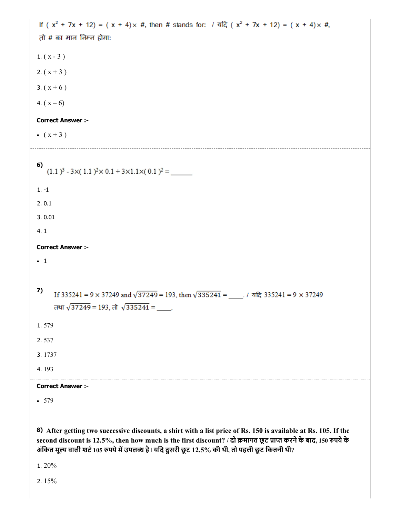If  $(x^2 + 7x + 12) = (x + 4)x$  #, then # stands for: / यदि  $(x^2 + 7x + 12) = (x + 4)x$  #, तो # का मान निम्न होगा: 1.  $(x - 3)$ 2.  $(x + 3)$ 3.  $(x + 6)$ 4.  $(x - 6)$ Correct Answer :- •  $(x + 3)$ 6)  $(1.1)^3 - 3 \times (1.1)^2 \times 0.1 + 3 \times 1.1 \times (0.1)^2 =$ 1. -1 2. 0.1 3. 0.01 4. 1 Correct Answer :-  $\cdot$  1 7) If 335241 = 9  $\times$  37249 and  $\sqrt{37249}$  = 193, then  $\sqrt{335241}$  = 1472 335241 = 9  $\times$  37249 तथा  $\sqrt{37249}$  = 193, तो  $\sqrt{335241}$  = \_\_\_\_. 1. 579 2. 537 3. 1737 4. 193 Correct Answer :- • 579

8) After getting two successive discounts, a shirt with a list price of Rs. 150 is available at Rs. 105. If the second discount is 12.5%, then how much is the first discount? / दो क्रमागत छूट प्राप्त करने के बाद, 150 रुपये के अंकित मूल्य वाली शर्ट 105 रुपये में उपलब्ध है। यदि दूसरी छूट 12.5% की थी, तो पहली छूट कितनी थी?

1. 20%

2. 15%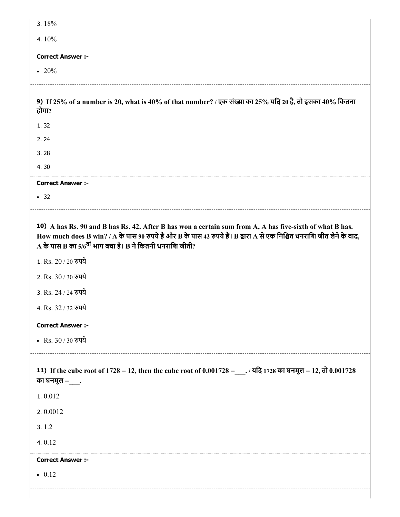| 3.18%                                                                                                                                                                                                                                                                                                       |
|-------------------------------------------------------------------------------------------------------------------------------------------------------------------------------------------------------------------------------------------------------------------------------------------------------------|
| 4.10%                                                                                                                                                                                                                                                                                                       |
| <b>Correct Answer :-</b>                                                                                                                                                                                                                                                                                    |
| • 20%                                                                                                                                                                                                                                                                                                       |
|                                                                                                                                                                                                                                                                                                             |
| 9) If 25% of a number is 20, what is 40% of that number? / एक संख्या का 25% यदि 20 है, तो इसका 40% कितना<br>होगा?                                                                                                                                                                                           |
| 1.32                                                                                                                                                                                                                                                                                                        |
| 2.24                                                                                                                                                                                                                                                                                                        |
| 3.28                                                                                                                                                                                                                                                                                                        |
| 4.30                                                                                                                                                                                                                                                                                                        |
| <b>Correct Answer :-</b>                                                                                                                                                                                                                                                                                    |
| $\cdot$ 32                                                                                                                                                                                                                                                                                                  |
| 10) A has Rs. 90 and B has Rs. 42. After B has won a certain sum from A, A has five-sixth of what B has.<br>How much does B win? / A के पास 90 रुपये हैं और B के पास 42 रुपये हैं। B द्वारा A से एक निश्चित धनराशि जीत लेने के बाद,<br>A के पास B का 5/6 <sup>वां</sup> भाग बचा है। B ने कितनी धनराशि जीती? |
| 1. Rs. 20 / 20 रुपये                                                                                                                                                                                                                                                                                        |
| 2. Rs. 30 / 30 रुपये                                                                                                                                                                                                                                                                                        |
| 3. Rs. 24 / 24 रुपये                                                                                                                                                                                                                                                                                        |
| 4. Rs. 32 / 32 रुपये                                                                                                                                                                                                                                                                                        |
| <b>Correct Answer :-</b>                                                                                                                                                                                                                                                                                    |
| • Rs. 30 / 30 रुपये                                                                                                                                                                                                                                                                                         |
| 11) If the cube root of 1728 = 12, then the cube root of 0.001728 = ___. / यदि 1728 का घनमूल = 12, तो 0.001728<br>का घनमूल $=$ ____.                                                                                                                                                                        |
| 1.0.012                                                                                                                                                                                                                                                                                                     |
| 2.0.0012                                                                                                                                                                                                                                                                                                    |
| 3.1.2                                                                                                                                                                                                                                                                                                       |
| 4.0.12                                                                                                                                                                                                                                                                                                      |
| <b>Correct Answer :-</b>                                                                                                                                                                                                                                                                                    |
| $\bullet$ 0.12                                                                                                                                                                                                                                                                                              |
|                                                                                                                                                                                                                                                                                                             |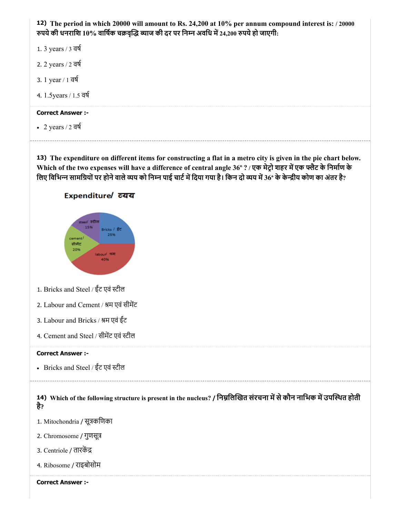

- 1. 3 years / 3 वष
- 2. 2 years / 2 वष
- 3. 1 year / 1 वष
- 4. 1.5years / 1.5 वष

• 2 years  $/2$  वर्ष

13) The expenditure on different items for constructing a flat in a metro city is given in the pie chart below. Which of the two expenses will have a difference of central angle 36° ? / एक मेट्रो शहर में एक फ्लैट के निर्माण के लिए विभिन्न सामग्रियों पर होने वाले व्यय को निम्न पाई चार्ट में दिया गया है। किन दो व्यय में 36° के केन्द्रीय कोण का अंतर है?

# Expenditure/cयय



- 1. Bricks and Steel / ईंट एवं टील
- 2. Labour and Cement / श्रम एवं सीमेंट
- 3. Labour and Bricks / म एवं ईंट
- 4. Cement and Steel / सीमट एवं टील

### Correct Answer :-

Bricks and Steel / ईंट एवं टील

14) Which of the following structure is present in the nucleus? / निम्नलिखित संरचना में से कौन नाभिक में उपस्थित होती है?

1. Mitochondria / सूकिणका

- 2. Chromosome / गुणसू
- 3. Centriole / तारक
- 4. Ribosome / राइबोसोम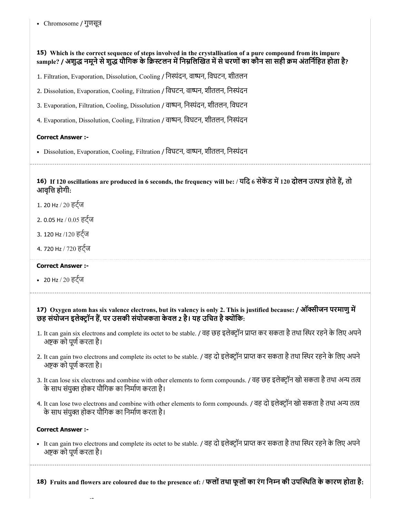# 15) Which is the correct sequence of steps involved in the crystallisation of a pure compound from its impure sample? / अशुद्ध नमूने से शुद्ध यौगिक के क्रिस्टलन में निम्नलिखित में से चरणों का कौन सा सही क्रम अंतर्निहित होता है?

- 1. Filtration, Evaporation, Dissolution, Cooling / िनंदन, वान, िवघटन, शीतलन
- 2. Dissolution, Evaporation, Cooling, Filtration / िवघटन, वान, शीतलन, िनंदन
- 3. Evaporation, Filtration, Cooling, Dissolution / वान, िनंदन, शीतलन, िवघटन
- 4. Evaporation, Dissolution, Cooling, Filtration / वान, िवघटन, शीतलन, िनंदन

# Correct Answer :-

- Dissolution, Evaporation, Cooling, Filtration / विघटन, वाष्पन, शीतलन, निस्यंदन
	-

### 16) If 120 oscillations are produced in 6 seconds, the frequency will be: / यदि 6 सेकेंड में 120 दोलन उत्पन्न होते हैं, तो आवृत्ति होगी:

- 1. 20 Hz / 20 हट्ज
- 2. 0.05 Hz / 0.05 हट्ज
- 3. 120 Hz /120 हट्ज
- 4. 720 Hz / 720 हट्ज

# Correct Answer :-

20 Hz / 20 हट्ज

# 17) Oxygen atom has six valence electrons, but its valency is only 2. This is justified because: / ऑीजन परमाणुम छह संयोजन इलेक्ट्रॉन हैं, पर उसकी संयोजकता केवल 2 है। यह उचित है क्योंकि:

- 1. It can gain six electrons and complete its octet to be stable. / वह छह इलेक्ट्रॉन प्राप्त कर सकता है तथा स्थिर रहने के लिए अपने अष्टक को पूर्ण करता है।
- 2. It can gain two electrons and complete its octet to be stable. / वह दो इलेक्टॉन प्राप्त कर सकता है तथा स्थिर रहने के लिए अपने अष्टक को पूर्ण करता है।
- 3. It can lose six electrons and combine with other elements to form compounds. / वह छह इलेक्ट्रॉन खो सकता है तथा अन्य तत्व के साथ संयुक्त होकर यौगिक का निर्माण करता है।
- 4. It can lose two electrons and combine with other elements to form compounds. / वह दो इलेक्ट्रॉन खो सकता है तथा अन्य तत्व के साथ संयुक्त होकर यौगिक का निर्माण करता है।

# Correct Answer :-

• It can gain two electrons and complete its octet to be stable. / वह दो इलेक्ट्रॉन प्राप्त कर सकता है तथा स्थिर रहने के लिए अपने अष्टक को पूर्ण करता है।

18) Fruits and flowers are coloured due to the presence of: / फलोंतथा फूलोंका रंग िनन की उपथित के कारण होता है: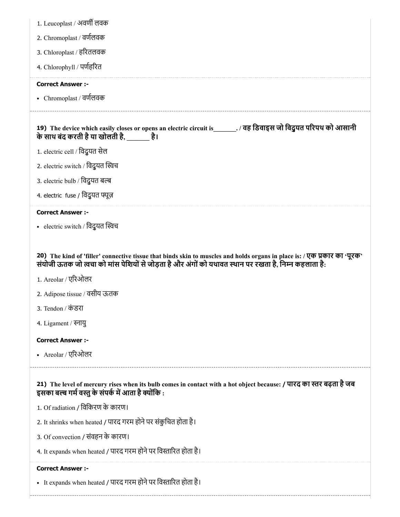| 1. Leucoplast / अवर्णी लवक                                                                                                                                                                                                                                |
|-----------------------------------------------------------------------------------------------------------------------------------------------------------------------------------------------------------------------------------------------------------|
| 2. Chromoplast / वर्णलवक                                                                                                                                                                                                                                  |
| 3. Chloroplast / हरितलवक                                                                                                                                                                                                                                  |
| 4. Chlorophyll / पर्णहरित                                                                                                                                                                                                                                 |
| <b>Correct Answer :-</b>                                                                                                                                                                                                                                  |
| • Chromoplast / वर्णलवक                                                                                                                                                                                                                                   |
| 19) The device which easily closes or opens an electric circuit is ________. / वह डिवाइस जो विदुयत परिपथ को आसानी<br>के साथ बंद करती है या खोलती है,               है।                                                                                    |
| 1. electric cell / विदुयत सेल                                                                                                                                                                                                                             |
| 2. electric switch / विदुयत स्विच                                                                                                                                                                                                                         |
| 3. electric bulb / विदुयत बल्ब                                                                                                                                                                                                                            |
| 4. electric fuse / विदुयत फ्यूज़                                                                                                                                                                                                                          |
| <b>Correct Answer :-</b>                                                                                                                                                                                                                                  |
| • electric switch / विदुयत स्विच                                                                                                                                                                                                                          |
|                                                                                                                                                                                                                                                           |
| 20) The kind of 'filler' connective tissue that binds skin to muscles and holds organs in place is: / एक प्रकार का 'पूरक'<br>संयोजी ऊतक जो त्वचा को मांस पेशियों से जोड़ता है और अंगों को यथावत स्थान पर रखता है, निम्न कहलाता है:<br>1. Areolar / एरिओलर |
| 2. Adipose tissue / वसीय ऊतक                                                                                                                                                                                                                              |
| 3. Tendon / कंडरा                                                                                                                                                                                                                                         |
| 4. Ligament / स्नायु                                                                                                                                                                                                                                      |
| <b>Correct Answer :-</b>                                                                                                                                                                                                                                  |
| • Areolar / एरिओलर                                                                                                                                                                                                                                        |
| 21) The level of mercury rises when its bulb comes in contact with a hot object because: / पारद का स्तर बढ़ता है जब<br>इसका बल्ब गर्म वस्तु के संपर्क में आता है क्योंकि :                                                                                |
| 1. Of radiation / विकिरण के कारण।                                                                                                                                                                                                                         |
| 2. It shrinks when heated / पारद गरम होने पर संकुचित होता है।                                                                                                                                                                                             |
| 3. Of convection / संवहन के कारण।                                                                                                                                                                                                                         |
| 4. It expands when heated / पारद गरम होने पर विस्तारित होता है।                                                                                                                                                                                           |
| <b>Correct Answer :-</b>                                                                                                                                                                                                                                  |
| • It expands when heated / पारद गरम होने पर विस्तारित होता है।                                                                                                                                                                                            |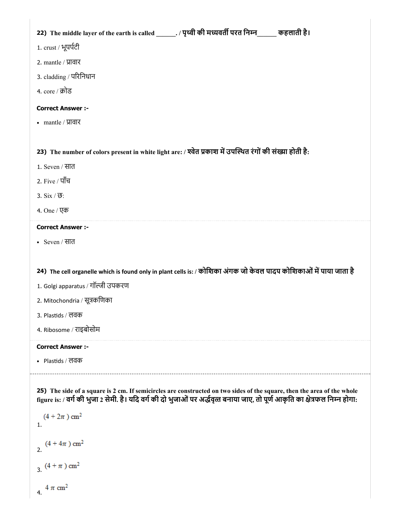| 22) The middle layer of the earth is called _______. / पृथ्वी की मध्यवर्ती परत निम्न_____ कहलाती है।                                                                                                                                                                                           |
|------------------------------------------------------------------------------------------------------------------------------------------------------------------------------------------------------------------------------------------------------------------------------------------------|
|                                                                                                                                                                                                                                                                                                |
| 1. crust / भूपर्पटी                                                                                                                                                                                                                                                                            |
| 2. mantle / प्रावार                                                                                                                                                                                                                                                                            |
| 3. cladding / परिनिधान                                                                                                                                                                                                                                                                         |
| 4. core / क्रोड                                                                                                                                                                                                                                                                                |
| <b>Correct Answer :-</b>                                                                                                                                                                                                                                                                       |
| • mantle / $\overline{M}$ or $\overline{M}$                                                                                                                                                                                                                                                    |
|                                                                                                                                                                                                                                                                                                |
| 23) The number of colors present in white light are: / श्वेत प्रकाश में उपस्थित रंगों की संख्या होती है:                                                                                                                                                                                       |
| 1. Seven / सात                                                                                                                                                                                                                                                                                 |
| 2. Five / पाँच                                                                                                                                                                                                                                                                                 |
| 3. $Six / ③$ :                                                                                                                                                                                                                                                                                 |
| 4. One / एक                                                                                                                                                                                                                                                                                    |
| <b>Correct Answer :-</b>                                                                                                                                                                                                                                                                       |
| • Seven / सात                                                                                                                                                                                                                                                                                  |
|                                                                                                                                                                                                                                                                                                |
| 24) The cell organelle which is found only in plant cells is: / कोशिका अंगक जो केवल पादप कोशिकाओं में पाया जाता है                                                                                                                                                                             |
| 1. Golgi apparatus / गॉल्जी उपकरण                                                                                                                                                                                                                                                              |
| 2. Mitochondria / सूत्रकणिका                                                                                                                                                                                                                                                                   |
| 3. Plastids / लवक                                                                                                                                                                                                                                                                              |
| 4. Ribosome / राइबोसोम                                                                                                                                                                                                                                                                         |
| <b>Correct Answer :-</b>                                                                                                                                                                                                                                                                       |
| • Plastids / लवक                                                                                                                                                                                                                                                                               |
| 25) The side of a square is 2 cm. If semicircles are constructed on two sides of the square, then the area of the whole<br>figure is: / वर्ग की भुजा 2 सेमी. है। यदि वर्ग की दो भुजाओं पर अर्द्धवृत्त बनाया जाए, तो पूर्ण आकृति का क्षेत्रफल निम्न होगा:<br>$(4 + 2\pi)$ cm <sup>2</sup><br>1. |

 $(4 + 4\pi)$  cm<sup>2</sup>

3.  $(4 + \pi)$  cm<sup>2</sup>

4.  $4 \pi \text{ cm}^2$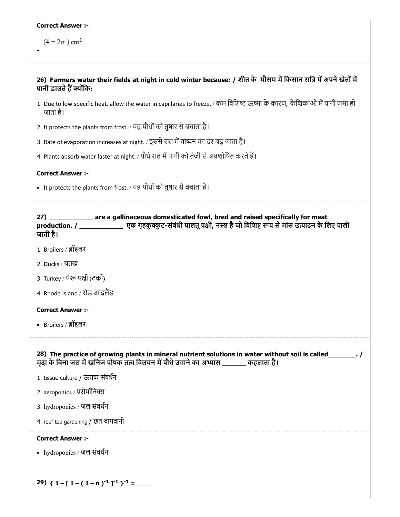| <b>Correct Answer :-</b>                                                                                                                                                                                                    |
|-----------------------------------------------------------------------------------------------------------------------------------------------------------------------------------------------------------------------------|
| $(4 + 2\pi)$ cm <sup>2</sup>                                                                                                                                                                                                |
|                                                                                                                                                                                                                             |
| 26) Farmers water their fields at night in cold winter because: / शीत के मौसम में किसान रात्रि में अपने खेतों में<br>पानी डालते हैं क्योंकि:                                                                                |
| 1. Due to low specific heat, allow the water in capillaries to freeze. / कम विशिष्ट ऊष्मा के कारण, केशिकाओं में पानी जमा हो<br>जाता है।                                                                                     |
| 2. It protects the plants from frost. / यह पौधों को तुषार से बचाता है।                                                                                                                                                      |
| 3. Rate of evaporation increases at night. / इससे रात में वाष्पन का दर बढ़ जाता है।                                                                                                                                         |
| 4. Plants absorb water faster at night. / पौधे रात में पानी को तेजी से अवशोषित करते हैं।                                                                                                                                    |
| <b>Correct Answer :-</b>                                                                                                                                                                                                    |
| • It protects the plants from frost. / यह पौधों को तुषार से बचाता है।                                                                                                                                                       |
|                                                                                                                                                                                                                             |
| are a gallinaceous domesticated fowl, bred and raised specifically for meat<br>27)<br>production. / ______________________ एक गृहकुक्कुट-संबंधी पालतू पक्षी, नस्ल है जो विशिष्ट रूप से मांस उत्पादन के लिए पाली<br>जाती है। |
| 1. Broilers / ब्रॉइलर                                                                                                                                                                                                       |
| 2. Ducks / बतख                                                                                                                                                                                                              |
| 3. Turkey / पेरू पक्षी (टर्की)                                                                                                                                                                                              |
| 4. Rhode Island / रोड आइलैंड                                                                                                                                                                                                |
| <b>Correct Answer :-</b>                                                                                                                                                                                                    |
| • Broilers / ब्रॉइलर                                                                                                                                                                                                        |
|                                                                                                                                                                                                                             |
| मदा के बिना जल में खनिज पोषक तत्व विलयन में पौधे उगाने का अभ्यास ______ कहलाता है।                                                                                                                                          |
| 1. tissue culture / ऊतक संवर्धन                                                                                                                                                                                             |
| 2. aeroponics / एरोपॉनिक्स                                                                                                                                                                                                  |
| 3. hydroponics / जल संवर्धन                                                                                                                                                                                                 |
| 4. roof top gardening / छत बागवानी                                                                                                                                                                                          |
| <b>Correct Answer:-</b>                                                                                                                                                                                                     |
| • hydroponics / जल संवर्धन                                                                                                                                                                                                  |
|                                                                                                                                                                                                                             |
| 29) $\{1 - [1 - (1 - n)^{-1}]^{-1}\}^{-1} =$                                                                                                                                                                                |
|                                                                                                                                                                                                                             |